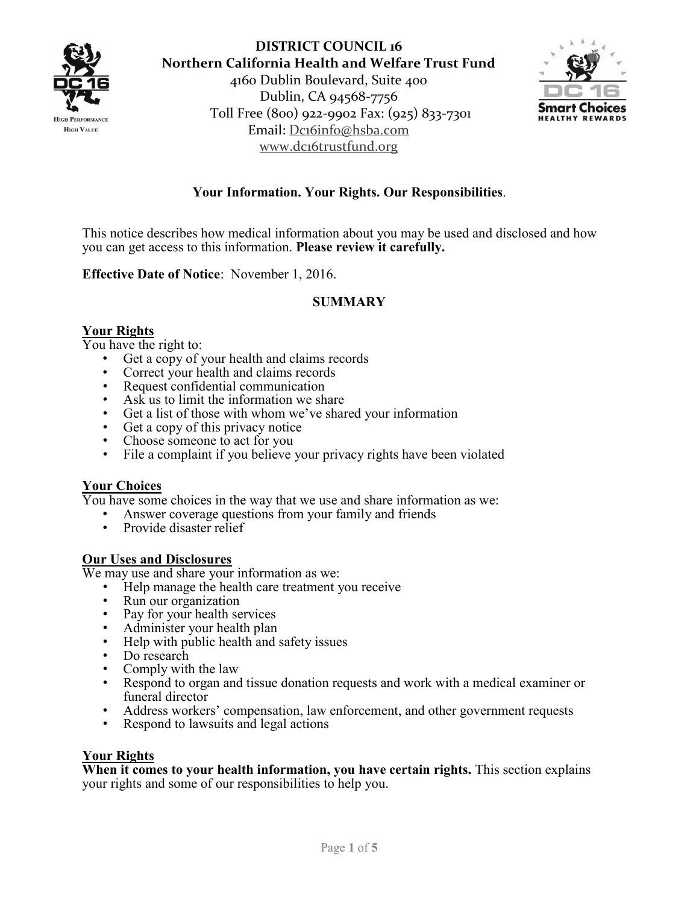

**DISTRICT COUNCIL 16 Northern California Health and Welfare Trust Fund** 4160 Dublin Boulevard, Suite 400 Dublin, CA 94568-7756 Toll Free (800) 922-9902 Fax: (925) 833-7301 Email: Dc16info@hsba.com www.dc16trustfund.org



# **Your Information. Your Rights. Our Responsibilities**.

This notice describes how medical information about you may be used and disclosed and how you can get access to this information. **Please review it carefully.**

**Effective Date of Notice**: November 1, 2016.

# **SUMMARY**

# **Your Rights**

- You have the right to:<br>
Get a copy of your health and claims records
	-
	-
	-
	- Correct your health and claims records<br>
	Request confidential communication<br>
	Ask us to limit the information we share<br>
	Get a list of those with whom we've shared your information<br>
	Get a copy of this privacy notice
	-
	-
	-

## **Your Choices**

You have some choices in the way that we use and share information as we:

- Answer coverage questions from your family and friends
- Provide disaster relief

## **Our Uses and Disclosures**

We may use and share your information as we:

- Help manage the health care treatment you receive<br>• Run our organization<br>• Pay for your health services
- 
- 
- Administer your health plan
- Help with public health and safety issues
- Do research
- Comply with the law
- Respond to organ and tissue donation requests and work with a medical examiner or funeral director
- Address workers' compensation, law enforcement, and other government requests
- Respond to lawsuits and legal actions

## **Your Rights**

**When it comes to your health information, you have certain rights.** This section explains your rights and some of our responsibilities to help you.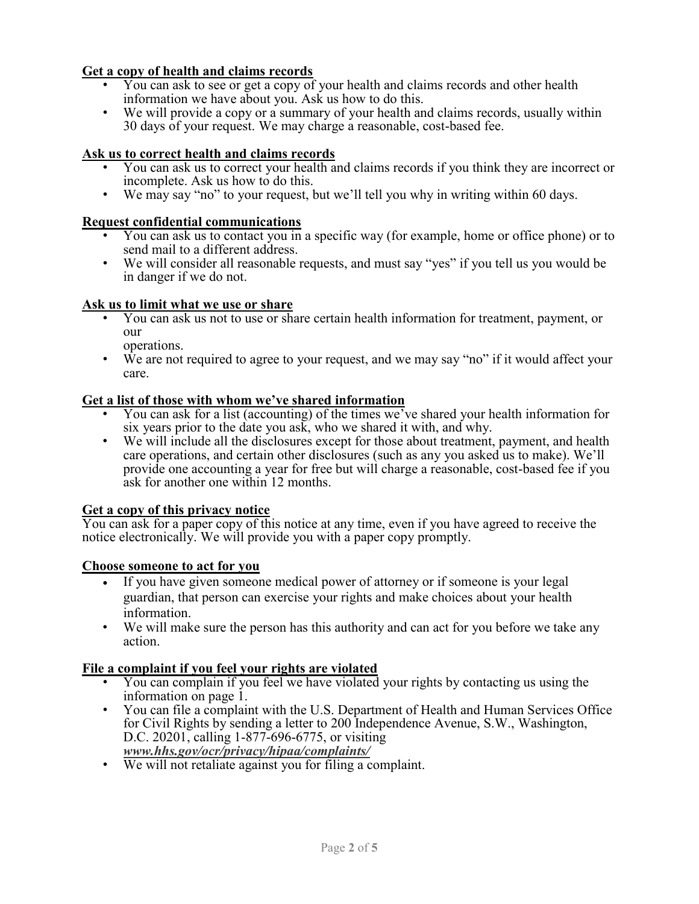## **Get a copy of health and claims records**

- You can ask to see or get a copy of your health and claims records and other health information we have about you. Ask us how to do this.
- We will provide a copy or a summary of your health and claims records, usually within 30 days of your request. We may charge a reasonable, cost-based fee.

## **Ask us to correct health and claims records**

- You can ask us to correct your health and claims records if you think they are incorrect or incomplete. Ask us how to do this.
- We may say "no" to your request, but we'll tell you why in writing within 60 days.

### **Request confidential communications**

- You can ask us to contact you in a specific way (for example, home or office phone) or to send mail to a different address.
- We will consider all reasonable requests, and must say "yes" if you tell us you would be in danger if we do not.

### **Ask us to limit what we use or share**

- You can ask us not to use or share certain health information for treatment, payment, or our
- operations.
- We are not required to agree to your request, and we may say "no" if it would affect your care.

### **Get a list of those with whom we've shared information**

- You can ask for a list (accounting) of the times we've shared your health information for six years prior to the date you ask, who we shared it with, and why.
- We will include all the disclosures except for those about treatment, payment, and health care operations, and certain other disclosures (such as any you asked us to make). We'll provide one accounting a year for free but will charge a reasonable, cost-based fee if you ask for another one within 12 months.

#### **Get a copy of this privacy notice**

You can ask for a paper copy of this notice at any time, even if you have agreed to receive the notice electronically. We will provide you with a paper copy promptly.

#### **Choose someone to act for you**

- If you have given someone medical power of attorney or if someone is your legal guardian, that person can exercise your rights and make choices about your health information.
- We will make sure the person has this authority and can act for you before we take any action.

## **File a complaint if you feel your rights are violated**

- You can complain if you feel we have violated your rights by contacting us using the information on page 1.
- You can file a complaint with the U.S. Department of Health and Human Services Office for Civil Rights by sending a letter to 200 Independence Avenue, S.W., Washington, D.C. 20201, calling 1-877-696-6775, or visiting *www.hhs.gov/ocr/privacy/hipaa/complaints/*
- We will not retaliate against you for filing a complaint.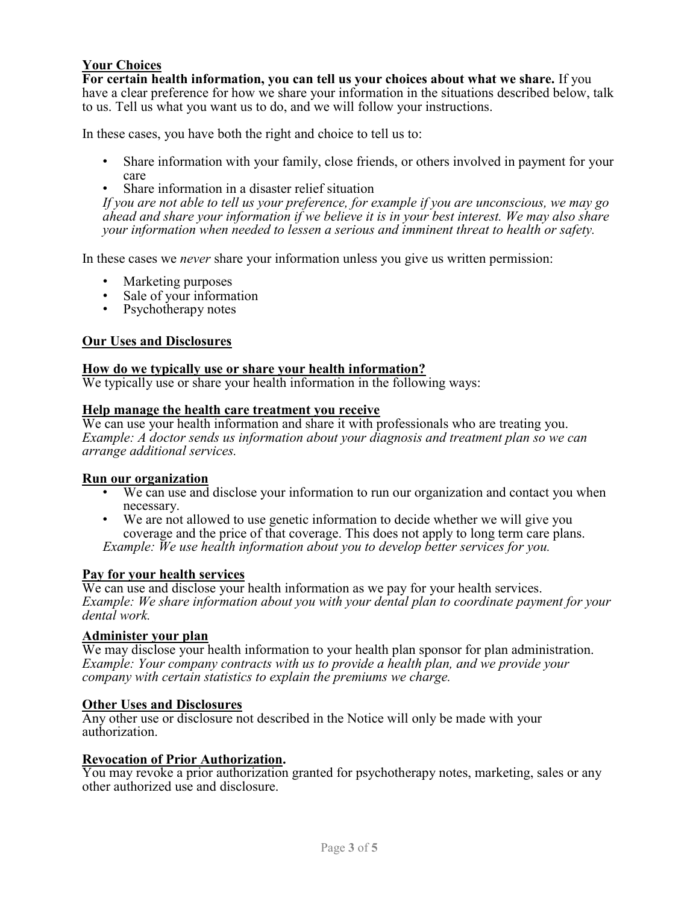## **Your Choices**

**For certain health information, you can tell us your choices about what we share.** If you have a clear preference for how we share your information in the situations described below, talk to us. Tell us what you want us to do, and we will follow your instructions.

In these cases, you have both the right and choice to tell us to:

- Share information with your family, close friends, or others involved in payment for your care
- Share information in a disaster relief situation

*If you are not able to tell us your preference, for example if you are unconscious, we may go ahead and share your information if we believe it is in your best interest. We may also share your information when needed to lessen a serious and imminent threat to health or safety.*

In these cases we *never* share your information unless you give us written permission:

- Marketing purposes
- Sale of your information
- Psychotherapy notes

#### **Our Uses and Disclosures**

#### **How do we typically use or share your health information?**

We typically use or share your health information in the following ways:

#### **Help manage the health care treatment you receive**

We can use your health information and share it with professionals who are treating you. *Example: A doctor sends us information about your diagnosis and treatment plan so we can arrange additional services.*

#### **Run our organization**

- We can use and disclose your information to run our organization and contact you when necessary.
- We are not allowed to use genetic information to decide whether we will give you coverage and the price of that coverage. This does not apply to long term care plans. *Example: We use health information about you to develop better services for you.*

#### **Pay for your health services**

We can use and disclose your health information as we pay for your health services. *Example: We share information about you with your dental plan to coordinate payment for your dental work.*

#### **Administer your plan**

We may disclose your health information to your health plan sponsor for plan administration. *Example: Your company contracts with us to provide a health plan, and we provide your company with certain statistics to explain the premiums we charge.*

#### **Other Uses and Disclosures**

Any other use or disclosure not described in the Notice will only be made with your authorization.

#### **Revocation of Prior Authorization.**

You may revoke a prior authorization granted for psychotherapy notes, marketing, sales or any other authorized use and disclosure.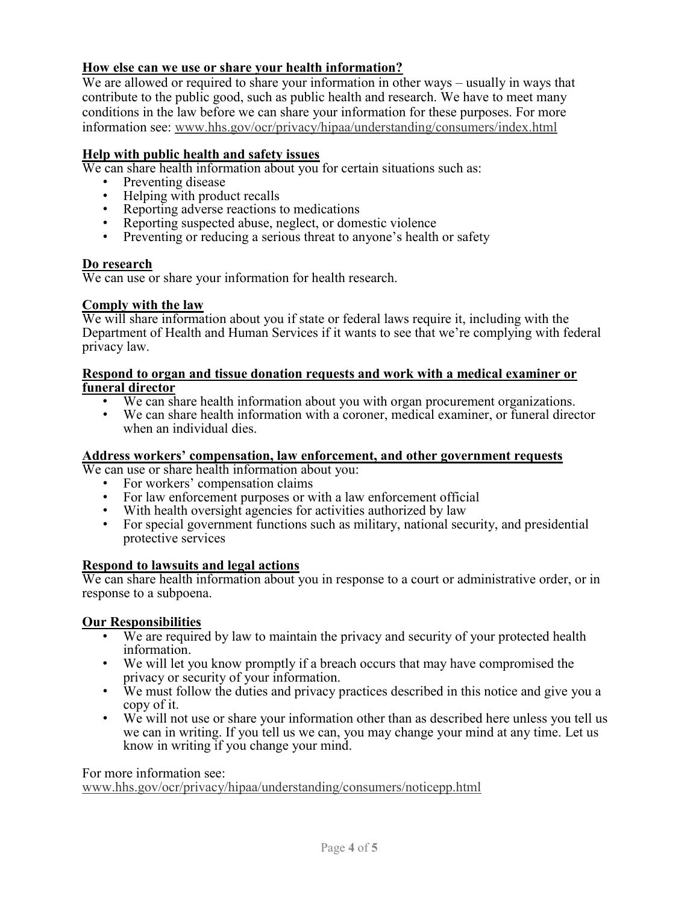## **How else can we use or share your health information?**

We are allowed or required to share your information in other ways – usually in ways that contribute to the public good, such as public health and research. We have to meet many conditions in the law before we can share your information for these purposes. For more information see: www.hhs.gov/ocr/privacy/hipaa/understanding/consumers/index.html

### **Help with public health and safety issues**

We can share health information about you for certain situations such as:

- Preventing disease
- Helping with product recalls
- Reporting adverse reactions to medications
- Reporting suspected abuse, neglect, or domestic violence
- Preventing or reducing a serious threat to anyone's health or safety

### **Do research**

We can use or share your information for health research.

### **Comply with the law**

We will share information about you if state or federal laws require it, including with the Department of Health and Human Services if it wants to see that we're complying with federal privacy law.

#### **Respond to organ and tissue donation requests and work with a medical examiner or funeral director**

- We can share health information about you with organ procurement organizations.
- We can share health information with a coroner, medical examiner, or funeral director when an individual dies.

#### **Address workers' compensation, law enforcement, and other government requests**

- We can use or share health information about you:
	- For workers' compensation claims
	- For law enforcement purposes or with a law enforcement official
	- With health oversight agencies for activities authorized by law<br>• For special government functions such as military national sec
	- For special government functions such as military, national security, and presidential protective services

#### **Respond to lawsuits and legal actions**

We can share health information about you in response to a court or administrative order, or in response to a subpoena.

## **Our Responsibilities**

- We are required by law to maintain the privacy and security of your protected health information.
- We will let you know promptly if a breach occurs that may have compromised the privacy or security of your information.
- We must follow the duties and privacy practices described in this notice and give you a copy of it.
- We will not use or share your information other than as described here unless you tell us we can in writing. If you tell us we can, you may change your mind at any time. Let us know in writing if you change your mind.

For more information see:

www.hhs.gov/ocr/privacy/hipaa/understanding/consumers/noticepp.html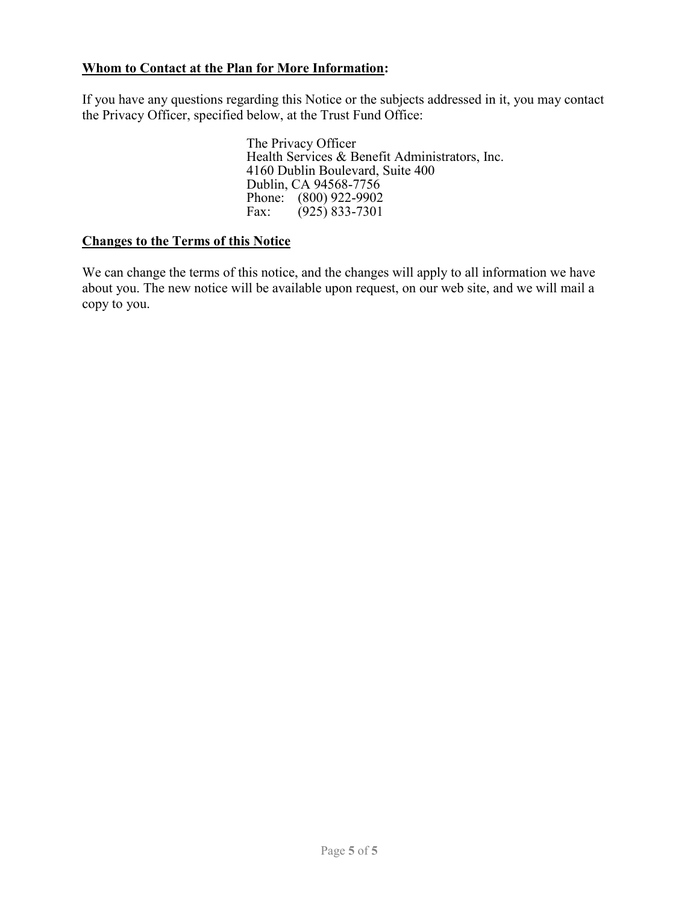## **Whom to Contact at the Plan for More Information:**

If you have any questions regarding this Notice or the subjects addressed in it, you may contact the Privacy Officer, specified below, at the Trust Fund Office:

> The Privacy Officer Health Services & Benefit Administrators, Inc. 4160 Dublin Boulevard, Suite 400 Dublin, CA 94568-7756 Phone: (800) 922-9902<br>Fax: (925) 833-7301  $(925) 833 - 7301$

## **Changes to the Terms of this Notice**

We can change the terms of this notice, and the changes will apply to all information we have about you. The new notice will be available upon request, on our web site, and we will mail a copy to you.